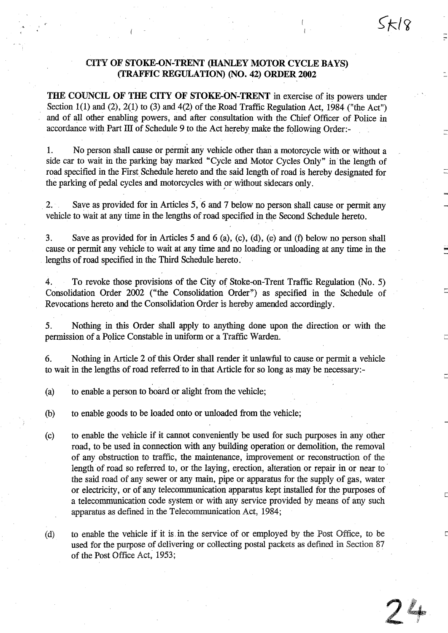# CITY OF STOKE-ON-TRENT (HANLEY MOTORCYCLE BAYS) (TRAFFIC REGULATION) (NO. 42) ORDER <sup>2002</sup>

 $\zeta_{\mathcal{K}}$ /8

 $74$ 

THE COUNCIL OF THE CITY OF STOKE-ON-TRENT in exercise of its powers under Section 1(1) and (2), 2(1) to (3) and 4(2) of the Road Traffic Regulation Act, 1984 ("the Act") and of all other enabling powers, and after consultation with the Chief Officer of Police in accordance with Part III of Schedule 9 to the Act hereby make the following Order:-

1. No person shall cause or permit any vehicle other than a motorcycle with or without a side car to wait in the parking bay marked "Cycle and Motor Cycles Only" in the length of road specified in the First. Schedule hereto and the said length of road is hereby designated for the parking of pedal cycles and motorcycles with or without sidecars only.

2. Save as provided for in Articles 5, 6 and 7 below no person shall cause or permit any vehicle to wait at any time in the lengths of road specified in the Second Schedule hereto .

3 . Save as provided for in Articles 5 and 6 (a), (c), (d), (e) and (f) below no person shall cause or permit any vehicle to wait at any time and no loading or unloading at any time in the lengths of road specified in the Third Schedule hereto :

4. To revoke those provisions of the City of Stoke-on-Trent Traffic Regulation (No . 5) Consolidation Order 2002 ("the Consolidation Order") as specified in the Schedule of Revocations hereto and the Consolidation Order is hereby amended accordingly.

5 . Nothing in this Order shall apply to anything done upon the direction or with the permission of a Police Constable in uniform or a Traffic Warden.

6. Nothing in Article 2 of this Order shall render it unlawful to cause or permit a vehicle to wait in the lengths of road referred to in that Article for so long as may be necessary:-

(a) to enable a person to board or alight from the vehicle;

(b) to enable goods to be loaded onto or unloaded from the vehicle;

- (c) to enable the vehicle if it cannot conveniently be used for such purposes in any other road, to be used in connection with any building operation or demolition, the removal of any obstruction to traffic, the maintenance, improvement or reconstruction of the length of road so referred to, or the laying, erection, alteration or repair in or near to the said road of any sewer or any main, pipe or apparatus for the supply of gas, water or electricity, or of any telecommunication apparatus kept installed for the purposes of a telecommunication code system or with any service provided by means of any such apparatus as defined in the Telecommunication Act, 1984;
- (d) to enable the vehicle if it is in the service of or employed by the Post Office, to be used for the purpose of delivering or collecting postal packets as defined in Section 87 of the Post Office Act, 1953;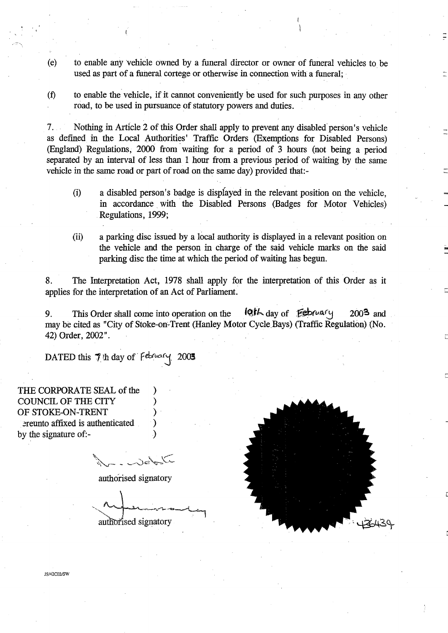- (e) to enable any 'vehicle owned by a funeral director or owner of funeral vehicles to be used as part of a funeral cortege or otherwise in connection with a funeral;
- to enable the vehicle, if it cannot conveniently be used for such purposes in any other  $(f)$ road, to be used in pursuance of statutory powers and duties .

7 . Nothing in Article 2 of this Order shall apply to prevent any disabled person's vehicle as defined in the Local Authorities' Traffic Orders (Exemptions for Disabled Persons) (England) Regulations, 2000 from waiting for a period of 3 hours (not being a period separated by an interval of less than 1 hour from a previous period of waiting by the same vehicle in the same road or part of road on the same day) provided that:-

- a disabled person's badge is displayed in the relevant position on the vehicle,  $(i)$ in accordance with the Disabled Persons (Badges for Motor Vehicles) Regulations, 1999;
- (ii) a parking disc issued by a local authority is displayed in a relevant position on the vehicle and the person in charge of the said vehicle marks on the said parking disc the time at which the period of waiting has begun.

8. The Interpretation Act, 1978 shall apply for the interpretation of this Order as it applies for the interpretation of an Act of Parliament.

9. This Order shall come into operation on the  $10$ th day of  $\cancel{\text{Feb}}\text{ruafy}$  2003 and may be cited as "City of Stoke-on-Trent (Hanley Motor Cycle,Bays) (Traffic Regulation) (No. 42) Order, 2002" .

DATED this  $7$  th day of February 2003

THE CORPORATE SEAL of the COUNCIL OF THE CITY OF STOKE-ON-TRENT ereunto affixed is authenticated by the signature of:-

authorised signatory

authorised signatory



JS/42CO2/SW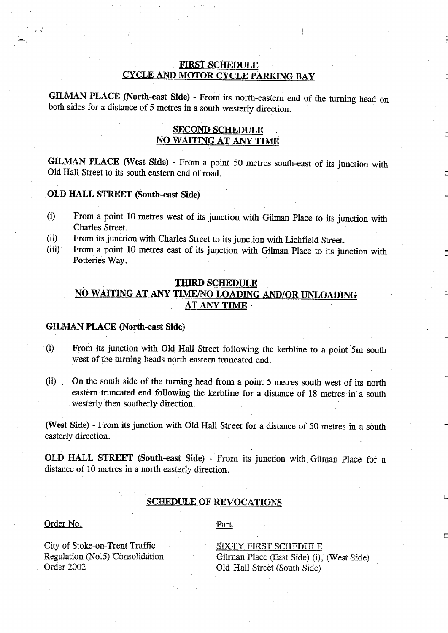# FIRST SCHEDULE CYCLE AND MOTOR CYCLE PARKING BAY

GILMAN PLACE (North-east Side) - From its north-eastern end of the turning head on both sides for a distance of 5 metres in a south westerly direction.

# SECOND SCHEDULE NO WAITING AT ANY TIME

GILMAN PLACE (West Side) - From <sup>a</sup> point <sup>50</sup> metres south-east of its junction with Old Hall Street to its south eastern end of road .

# OLD HALL STREET (South-east Side)

- From <sup>a</sup> point <sup>10</sup> metres west of its junction with Gilman Place to its junction with  $(i)$ Charles Street.
- From its junction with Charles Street to its junction with Lichfield Street .  $(ii)$
- From a, point 10 metres east of its junction with Gilman Place to its junction with  $(iii)$ Potteries Way.

## THIRD SCHEDULE

# NO WAITING AT ANY TIME/NO LOADING AND/OR UNLOADING AT ANY TIME

## GILMAN PLACE (North-east Side)

- $(i)$ From its junction with Old Hall Street following the kerbline to a point 5m south west of the turning heads north eastern truncated end.
- On the south side of the turning head from <sup>a</sup> point 5 metres south west of its north  $(ii)$ eastern truncated end following the kerbline for a distance of 18 metres in a south westerly then southerly direction.

(West Side) - From its junction with Old Hall Street for <sup>a</sup> distance of 50 metres in <sup>a</sup> south easterly direction.

OLD HALL STREET (South-east Side) - From its junction with Gilman lace for a distance of 10 metres in a north easterly direction.

# SCHEDULE OF REVOCATIONS

#### Order No.

Part

City of Stoke-on=Trent Traffic Regulation (No.5) Consolidation Order 2002

SIXTY FfRST SCHEDULE Gilman Place (East Side) (i), (West Side) Old Hall Street (South Side)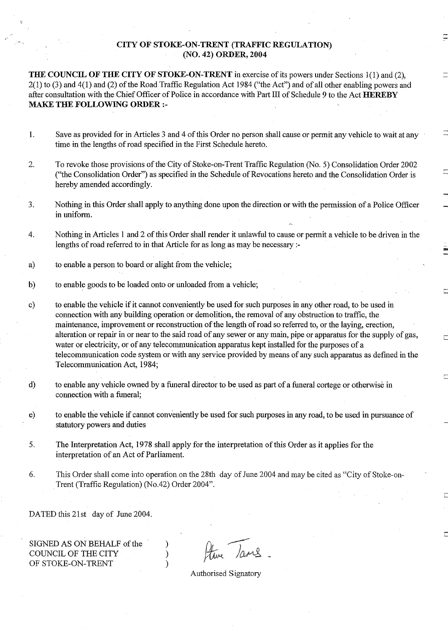# CITY OF STOKE-ON-TRENT (TRAFFIC REGULATION) (NO. 42) ORDER, 2004

THE COUNCIL OF THE CITY OF STOKE-ON-TRENT in exercise of its powers under Sections 1(1) and (2),  $2(1)$  to (3) and  $4(1)$  and (2) of the Road Traffic Regulation Act 1984 ("the Act") and of all other enabling powers and after consultation with the Chief Officer of Police in accordance with Part III of Schedule 9 to the Act HEREBY MAKE THE FOLLOWING ORDER :-

- Save as provided for in Articles 3 and 4 of this Order no person shall cause or permit any vehicle to wait at any  $1.$ time in the lengths of road specified in the First Schedule hereto.
- 2. To revoke those provisions of the City of Stoke-on-Trent Traffic Regulation (No. 5) Consolidation Order 2002 ("the Consolidation Order") as specified in the Schedule of Revocations hereto and the Consolidation Order is hereby amended accordingly.
- 3. Nothing in this Order shall apply to anything done upon the direction or with the permission of a Police Officer in uniform.
- 4. Nothing in Articles 1 and 2 of this Order shall render it unlawful to cause or permit a vehicle to be driven in the lengths of road referred to in that Article for as long as may be necessary :-
- a) to enable a person to board or alight from the vehicle;
- b) to enable goods to be loaded onto or unloaded from a vehicle;
- c) to enable the vehicle if it cannot conveniently be used for such purposes in any other road, to be used in connection with any building operation or demolition ; the removal of any obstruction to traffic, the maintenance, improvement or reconstruction of the length of road so referred to, or the laying, erection, alteration or repair in or near to the said road of any sewer or any main, pipe or apparatus for the supply of gas, water or electricity, or of any telecommunication apparatus kept installed for the purposes of a telecommunication code system or with any service provided by means of any such apparatus as defined in the Telecommunication Act, 1984;
- d) to enable any vehicle owned by a funeral director to be used as part of a funeral cortege or otherwise in connection with a funeral;
- to enable the vehicle if cannot conveniently be used for such purposes in any road, to be used in pursuance of e) statutory powers and duties
- 5 . The Interpretation Act, 1978 shall apply for the interpretation ofthis Order as it applies for the interpretation of an Act of Parliament.
- 6. This Order shall come into operation on the 28th day of June 2004 and may be cited as "City of Stoke-on-Trent (Traffic Regulation) (No.42) Order 2004".

DATED this 21st day of June 2004.

SIGNED AS ON BEHALF of the )<br>COUNCIL OF THE CITY ) COUNCIL OF THE CITY  $\qquad \qquad$  )<br>OF STOKE-ON-TRENT  $)$ OF STOKE-ON-TRENT

Ature Tames

Authorised Signatory